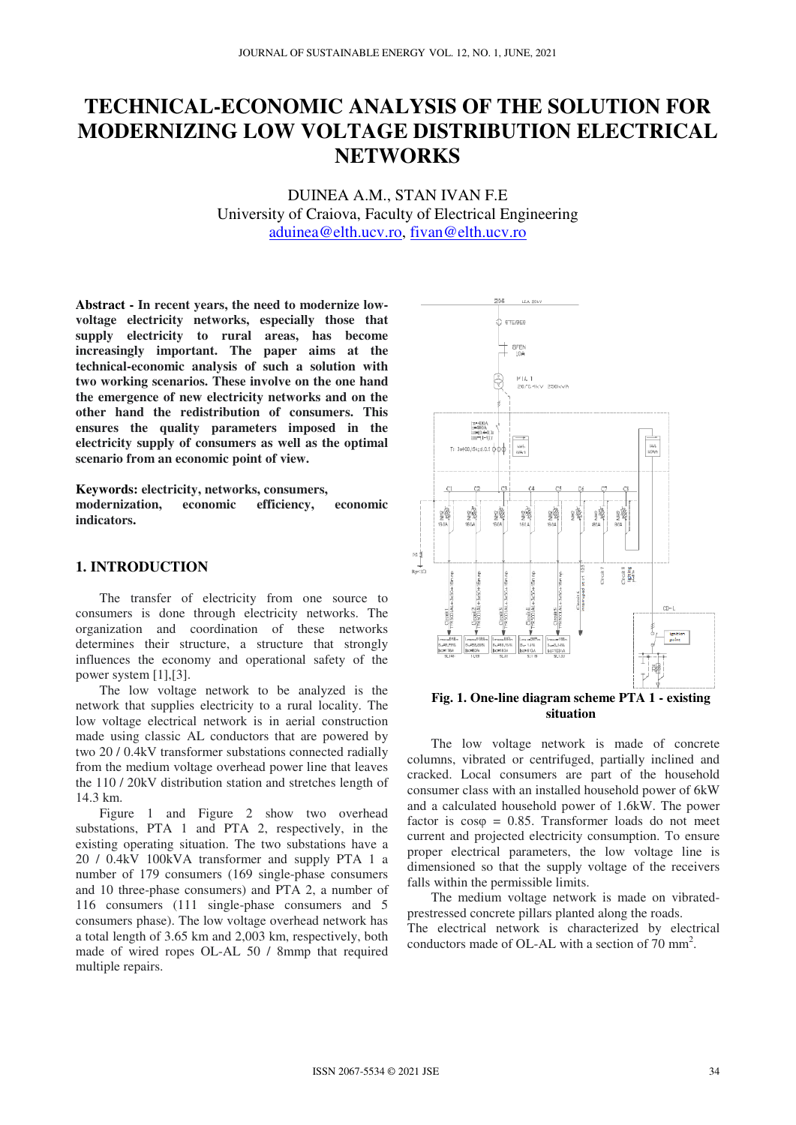# **TECHNICAL-ECONOMIC ANALYSIS OF THE SOLUTION FOR MODERNIZING LOW VOLTAGE DISTRIBUTION ELECTRICAL NETWORKS**

DUINEA A.M., STAN IVAN F.E University of Craiova, Faculty of Electrical Engineering aduinea@elth.ucv.ro, fivan@elth.ucv.ro

**Abstract - In recent years, the need to modernize lowvoltage electricity networks, especially those that supply electricity to rural areas, has become increasingly important. The paper aims at the technical-economic analysis of such a solution with two working scenarios. These involve on the one hand the emergence of new electricity networks and on the other hand the redistribution of consumers. This ensures the quality parameters imposed in the electricity supply of consumers as well as the optimal scenario from an economic point of view.** 

**Keywords: electricity, networks, consumers, modernization, economic efficiency, economic indicators.** 

## **1. INTRODUCTION**

The transfer of electricity from one source to consumers is done through electricity networks. The organization and coordination of these networks determines their structure, a structure that strongly influences the economy and operational safety of the power system [1],[3].

The low voltage network to be analyzed is the network that supplies electricity to a rural locality. The low voltage electrical network is in aerial construction made using classic AL conductors that are powered by two 20 / 0.4kV transformer substations connected radially from the medium voltage overhead power line that leaves the 110 / 20kV distribution station and stretches length of 14.3 km.

Figure 1 and Figure 2 show two overhead substations, PTA 1 and PTA 2, respectively, in the existing operating situation. The two substations have a 20 / 0.4kV 100kVA transformer and supply PTA 1 a number of 179 consumers (169 single-phase consumers and 10 three-phase consumers) and PTA 2, a number of 116 consumers (111 single-phase consumers and 5 consumers phase). The low voltage overhead network has a total length of 3.65 km and 2,003 km, respectively, both made of wired ropes OL-AL 50 / 8mmp that required multiple repairs.



**Fig. 1. One-line diagram scheme PTA 1 - existing situation** 

The low voltage network is made of concrete columns, vibrated or centrifuged, partially inclined and cracked. Local consumers are part of the household consumer class with an installed household power of 6kW and a calculated household power of 1.6kW. The power factor is  $cos\phi = 0.85$ . Transformer loads do not meet current and projected electricity consumption. To ensure proper electrical parameters, the low voltage line is dimensioned so that the supply voltage of the receivers falls within the permissible limits.

The medium voltage network is made on vibratedprestressed concrete pillars planted along the roads. The electrical network is characterized by electrical conductors made of OL-AL with a section of  $70 \text{ mm}^2$ .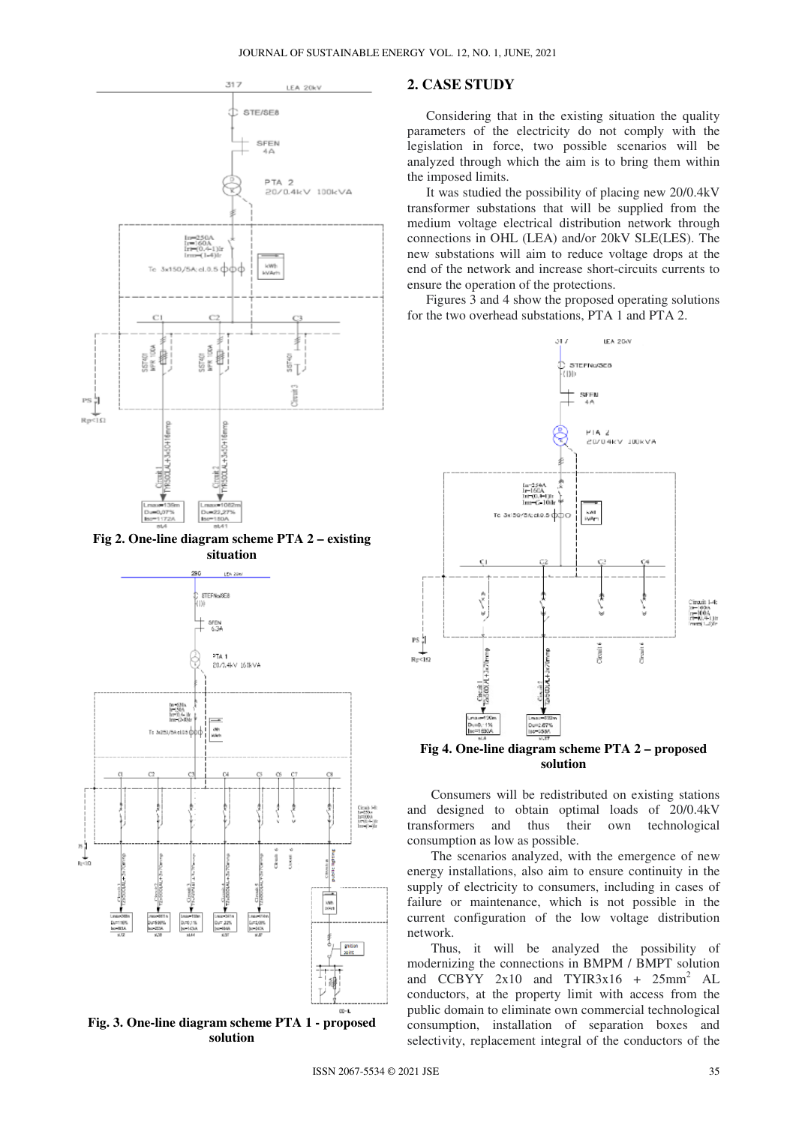

**Fig 2. One-line diagram scheme PTA 2 – existing situation**



**Fig. 3. One-line diagram scheme PTA 1 - proposed solution**

### **2. CASE STUDY**

Considering that in the existing situation the quality parameters of the electricity do not comply with the legislation in force, two possible scenarios will be analyzed through which the aim is to bring them within the imposed limits.

It was studied the possibility of placing new 20/0.4kV transformer substations that will be supplied from the medium voltage electrical distribution network through connections in OHL (LEA) and/or 20kV SLE(LES). The new substations will aim to reduce voltage drops at the end of the network and increase short-circuits currents to ensure the operation of the protections.

Figures 3 and 4 show the proposed operating solutions for the two overhead substations, PTA 1 and PTA 2.



**Fig 4. One-line diagram scheme PTA 2 – proposed solution**

Consumers will be redistributed on existing stations and designed to obtain optimal loads of 20/0.4kV transformers and thus their own technological consumption as low as possible.

The scenarios analyzed, with the emergence of new energy installations, also aim to ensure continuity in the supply of electricity to consumers, including in cases of failure or maintenance, which is not possible in the current configuration of the low voltage distribution network.

Thus, it will be analyzed the possibility of modernizing the connections in BMPM / BMPT solution and  $CCBYY$  2x10 and TYIR3x16 + 25mm<sup>2</sup> AL conductors, at the property limit with access from the public domain to eliminate own commercial technological consumption, installation of separation boxes and selectivity, replacement integral of the conductors of the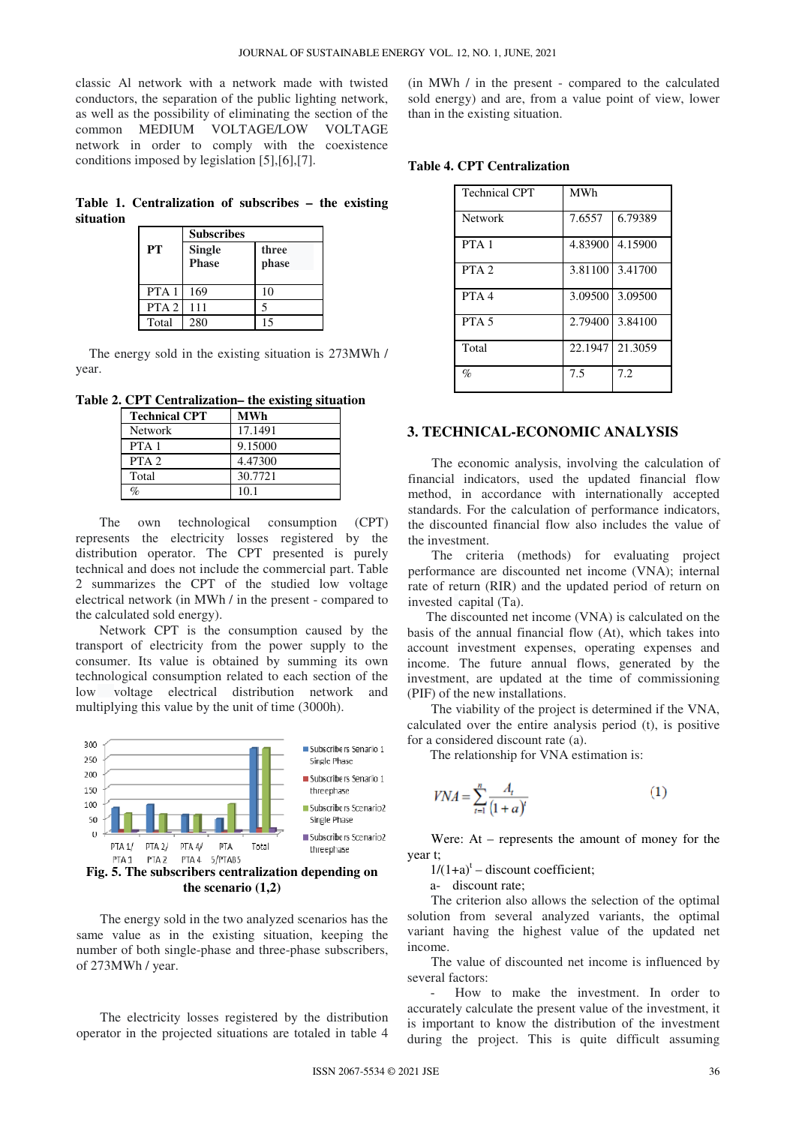classic Al network with a network made with twisted conductors, the separation of the public lighting network, as well as the possibility of eliminating the section of the common MEDIUM VOLTAGE/LOW VOLTAGE network in order to comply with the coexistence conditions imposed by legislation [5],[6],[7].

**Table 1. Centralization of subscribes – the existing situation** 

|                  | <b>Subscribes</b> |       |  |  |
|------------------|-------------------|-------|--|--|
| PT               | <b>Single</b>     | three |  |  |
|                  | <b>Phase</b>      | phase |  |  |
|                  |                   |       |  |  |
| PTA <sub>1</sub> | 169               | 10    |  |  |
| PTA <sub>2</sub> | 111               |       |  |  |
| Total            | 280               | 15    |  |  |

The energy sold in the existing situation is 273MWh / year.

**Table 2. CPT Centralization– the existing situation**

| <b>Technical CPT</b> | <b>MWh</b> |
|----------------------|------------|
| <b>Network</b>       | 17.1491    |
| PTA <sub>1</sub>     | 9.15000    |
| PTA <sub>2</sub>     | 4.47300    |
| Total                | 30.7721    |
|                      |            |

The own technological consumption (CPT) represents the electricity losses registered by the distribution operator. The CPT presented is purely technical and does not include the commercial part. Table 2 summarizes the CPT of the studied low voltage electrical network (in MWh / in the present - compared to the calculated sold energy).

Network CPT is the consumption caused by the transport of electricity from the power supply to the consumer. Its value is obtained by summing its own technological consumption related to each section of the low voltage electrical distribution network and multiplying this value by the unit of time (3000h).



**the scenario (1,2)**

The energy sold in the two analyzed scenarios has the same value as in the existing situation, keeping the number of both single-phase and three-phase subscribers, of 273MWh / year.

The electricity losses registered by the distribution operator in the projected situations are totaled in table 4 (in MWh / in the present - compared to the calculated sold energy) and are, from a value point of view, lower than in the existing situation.

| <b>Table 4. CPT Centralization</b> |  |
|------------------------------------|--|
|------------------------------------|--|

| <b>Technical CPT</b> | <b>MWh</b> |                 |
|----------------------|------------|-----------------|
| <b>Network</b>       | 7.6557     | 6.79389         |
| PTA <sub>1</sub>     |            | 4.83900 4.15900 |
| PTA <sub>2</sub>     |            | 3.81100 3.41700 |
| PTA <sub>4</sub>     |            | 3.09500 3.09500 |
| PTA <sub>5</sub>     |            | 2.79400 3.84100 |
| Total                |            | 22.1947 21.3059 |
| $\%$                 | 7.5        | 7.2             |

#### **3. TECHNICAL-ECONOMIC ANALYSIS**

The economic analysis, involving the calculation of financial indicators, used the updated financial flow method, in accordance with internationally accepted standards. For the calculation of performance indicators, the discounted financial flow also includes the value of the investment.

The criteria (methods) for evaluating project performance are discounted net income (VNA); internal rate of return (RIR) and the updated period of return on invested capital (Ta).

The discounted net income (VNA) is calculated on the basis of the annual financial flow (At), which takes into account investment expenses, operating expenses and income. The future annual flows, generated by the investment, are updated at the time of commissioning (PIF) of the new installations.

The viability of the project is determined if the VNA, calculated over the entire analysis period (t), is positive for a considered discount rate (a).

The relationship for VNA estimation is:

$$
VNA = \sum_{t=1}^{n} \frac{A_t}{(1+a)^t}
$$
 (1)

Were: At – represents the amount of money for the year t;

 $1/(1+a)^t$  – discount coefficient;

a- discount rate;

The criterion also allows the selection of the optimal solution from several analyzed variants, the optimal variant having the highest value of the updated net income.

The value of discounted net income is influenced by several factors:

- How to make the investment. In order to accurately calculate the present value of the investment, it is important to know the distribution of the investment during the project. This is quite difficult assuming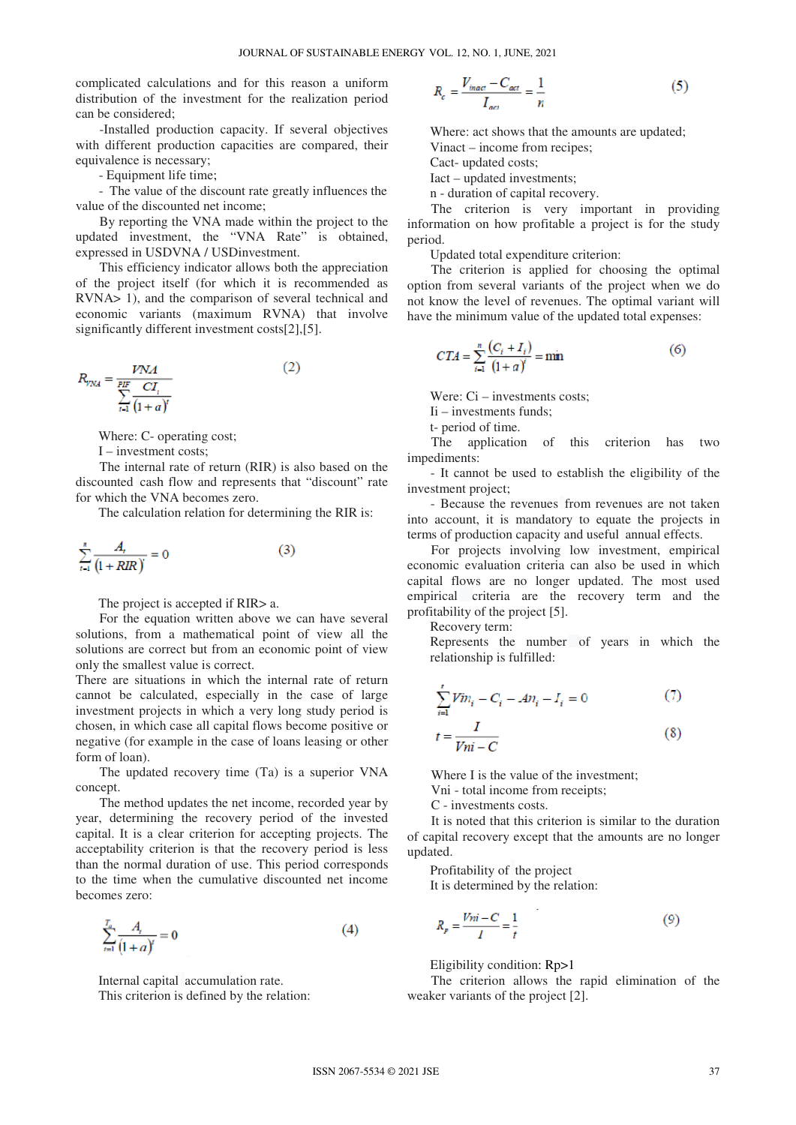complicated calculations and for this reason a uniform distribution of the investment for the realization period can be considered;

-Installed production capacity. If several objectives with different production capacities are compared, their equivalence is necessary;

- Equipment life time;

- The value of the discount rate greatly influences the value of the discounted net income;

By reporting the VNA made within the project to the updated investment, the "VNA Rate" is obtained, expressed in USDVNA / USDinvestment.

This efficiency indicator allows both the appreciation of the project itself (for which it is recommended as RVNA> 1), and the comparison of several technical and economic variants (maximum RVNA) that involve significantly different investment costs[2],[5].

$$
R_{\gamma \text{NA}} = \frac{V \text{NA}}{\sum_{t=1}^{PIF} \frac{CI_t}{(1+a)^t}}
$$
(2)

Where: C- operating cost;

I – investment costs;

The internal rate of return (RIR) is also based on the discounted cash flow and represents that "discount" rate for which the VNA becomes zero.

The calculation relation for determining the RIR is:

$$
\sum_{t=1}^{n} \frac{A_t}{\left(1 + RIR\right)} = 0\tag{3}
$$

The project is accepted if RIR> a.

For the equation written above we can have several solutions, from a mathematical point of view all the solutions are correct but from an economic point of view only the smallest value is correct.

There are situations in which the internal rate of return cannot be calculated, especially in the case of large investment projects in which a very long study period is chosen, in which case all capital flows become positive or negative (for example in the case of loans leasing or other form of loan).

The updated recovery time (Ta) is a superior VNA concept.

The method updates the net income, recorded year by year, determining the recovery period of the invested capital. It is a clear criterion for accepting projects. The acceptability criterion is that the recovery period is less than the normal duration of use. This period corresponds to the time when the cumulative discounted net income becomes zero:

$$
\sum_{t=1}^{T_a} \frac{A_t}{(1+a)^t} = 0
$$
\n(4)

Internal capital accumulation rate.

This criterion is defined by the relation:

$$
R_c = \frac{V_{inact} - C_{act}}{I_{act}} = \frac{1}{n}
$$
 (5)

Where: act shows that the amounts are updated; Vinact – income from recipes;

Cact- updated costs;

Iact – updated investments;

n - duration of capital recovery.

The criterion is very important in providing information on how profitable a project is for the study period.

Updated total expenditure criterion:

The criterion is applied for choosing the optimal option from several variants of the project when we do not know the level of revenues. The optimal variant will have the minimum value of the updated total expenses:

$$
CTA = \sum_{i=1}^{n} \frac{(C_i + I_i)}{(1 + a)^i} = \min
$$
 (6)

Were: Ci – investments costs;

Ii – investments funds;

t- period of time.

The application of this criterion has two impediments:

- It cannot be used to establish the eligibility of the investment project;

- Because the revenues from revenues are not taken into account, it is mandatory to equate the projects in terms of production capacity and useful annual effects.

For projects involving low investment, empirical economic evaluation criteria can also be used in which capital flows are no longer updated. The most used empirical criteria are the recovery term and the profitability of the project [5].

Recovery term:

Represents the number of years in which the relationship is fulfilled:

$$
\sum_{i=1}^{t} Vin_i - C_i - An_i - I_i = 0
$$
 (7)

$$
t = \frac{1}{Vni - C} \tag{8}
$$

Where I is the value of the investment;

Vni - total income from receipts;

C - investments costs.

It is noted that this criterion is similar to the duration of capital recovery except that the amounts are no longer updated.

Profitability of the project It is determined by the relation:

$$
R_p = \frac{V_{ni} - C}{I} = \frac{1}{t}
$$
 (9)

Eligibility condition: Rp>1

The criterion allows the rapid elimination of the weaker variants of the project [2].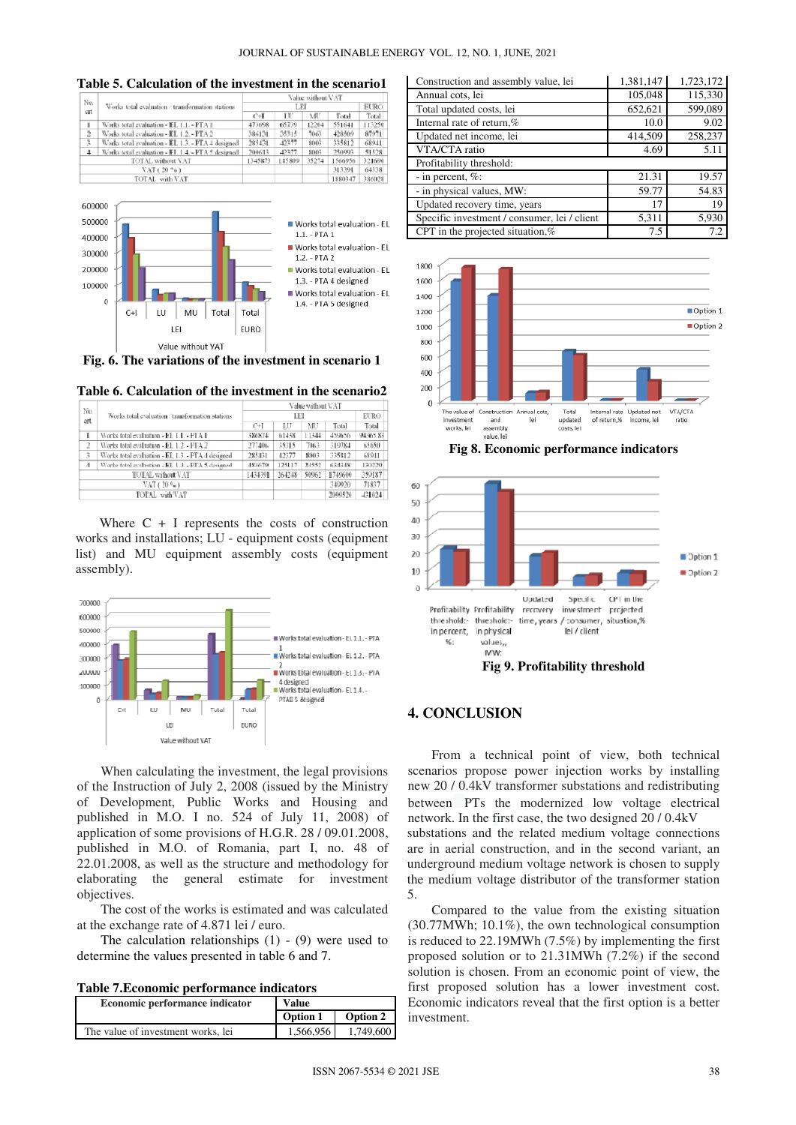**Table 5. Calculation of the investment in the scenario1** 

|               | Works total evaluation / transformation stations  | Value without VAT |        |       |         |             |
|---------------|---------------------------------------------------|-------------------|--------|-------|---------|-------------|
| No.<br>cat    |                                                   | LEL               |        |       |         | <b>EURO</b> |
|               |                                                   | C+I               | ш      | MU    | Total   | Total       |
| ä.            | Works total evaluation - EL 1.1. - PTA 1          | 473698            | 65739  | 12204 | 551641  | 113250      |
| $\frac{1}{2}$ | Works total evaluation - EL 1.2. - PTA 2          | 386131            | 35315  | 7063  | 428509  | 87971       |
| 3             | Works total evaluation - EL 1.3. - PTA 4 designed | 285431            | 42377  | 8003  | 335812  | 68941       |
|               | Works total evaluation - EL 1.4. - PTA 5 designed | 200613            | 42377  | 8003  | 250993  | 51528       |
|               | <b>TOTAL</b> without VAT                          | 1345873           | 185809 | 35274 | 1566956 | 321690      |
|               | $VAT(20\%$                                        |                   |        |       | 313391  | 64338       |
|               | TOTAL with VAT                                    |                   |        |       | 1880347 | 386028      |



**Fig. 6. The variations of the investment in scenario 1** 

**Table 6. Calculation of the investment in the scenario2** 

| No.                    | Works total evaluation / transformation stations  | Value without VAT |        |       |         |             |
|------------------------|---------------------------------------------------|-------------------|--------|-------|---------|-------------|
| ert.                   |                                                   | LEI               |        |       |         | <b>EURO</b> |
|                        |                                                   | $C+I$             | LU     | MU    | Total   | Total       |
|                        | Works total evaluation - EL 1.1. - PTA I          | 386874            | 61438  | 11344 | 459656  | 94365.83    |
| $\overline{2}$         | Works total evaluation - EL 1.2 - PTA 2           | 277406            | 35315  | 7063  | 319784  | 65650       |
| 3                      | Works total evaluation - EL 1.3. - PTA 4 designed | 285431            | 42377  | 8003  | 335812  | 68941       |
| $\boldsymbol{\Lambda}$ | Works total evaluation - EL 1.4 - PTA 5 designed  | 484679            | 125117 | 24552 | 634348  | 130229      |
|                        | <b>TOTAL without VAT</b>                          | 1434391           | 264248 | 50962 | 1749600 | 359187      |
|                        | VAT (20 %)                                        |                   |        |       | 349920  | 71837       |
|                        | TOTAL with VAT                                    |                   |        |       | 2090520 | 431024      |

Where  $C + I$  represents the costs of construction works and installations; LU - equipment costs (equipment list) and MU equipment assembly costs (equipment assembly).



When calculating the investment, the legal provisions of the Instruction of July 2, 2008 (issued by the Ministry of Development, Public Works and Housing and published in M.O. I no. 524 of July 11, 2008) of application of some provisions of H.G.R. 28 / 09.01.2008, published in M.O. of Romania, part I, no. 48 of 22.01.2008, as well as the structure and methodology for elaborating the general estimate for investment objectives.

The cost of the works is estimated and was calculated at the exchange rate of 4.871 lei / euro.

The calculation relationships  $(1)$  -  $(9)$  were used to determine the values presented in table 6 and 7.

**Table 7.Economic performance indicators** 

| Economic performance indicator     | Value           |           |
|------------------------------------|-----------------|-----------|
|                                    | <b>Option 1</b> | Option 2  |
| The value of investment works, lei | 1.566.956       | 1,749,600 |

| Construction and assembly value, lei         | 1,381,147 | 1,723,172 |  |  |  |  |
|----------------------------------------------|-----------|-----------|--|--|--|--|
| Annual cots, lei                             | 105,048   | 115,330   |  |  |  |  |
| Total updated costs, lei                     | 652,621   | 599,089   |  |  |  |  |
| Internal rate of return,%                    | 10.0      | 9.02      |  |  |  |  |
| Updated net income, lei                      | 414,509   | 258,237   |  |  |  |  |
| VTA/CTA ratio                                | 4.69      | 5.11      |  |  |  |  |
| Profitability threshold:                     |           |           |  |  |  |  |
| - in percent, $\%$ :                         | 21.31     | 19.57     |  |  |  |  |
| - in physical values, MW:                    | 59.77     | 54.83     |  |  |  |  |
| Updated recovery time, years                 | 17        | 19        |  |  |  |  |
| Specific investment / consumer, lei / client | 5,311     | 5,930     |  |  |  |  |
| CPT in the projected situation, $%$          | 7.5       | 7.2       |  |  |  |  |



**Fig 8. Economic performance indicators** 



## **4. CONCLUSION**

From a technical point of view, both technical scenarios propose power injection works by installing new 20 / 0.4kV transformer substations and redistributing between PTs the modernized low voltage electrical network. In the first case, the two designed 20 / 0.4kV substations and the related medium voltage connections are in aerial construction, and in the second variant, an underground medium voltage network is chosen to supply the medium voltage distributor of the transformer station 5.

Compared to the value from the existing situation (30.77MWh; 10.1%), the own technological consumption is reduced to 22.19MWh (7.5%) by implementing the first proposed solution or to 21.31MWh (7.2%) if the second solution is chosen. From an economic point of view, the first proposed solution has a lower investment cost. Economic indicators reveal that the first option is a better investment.